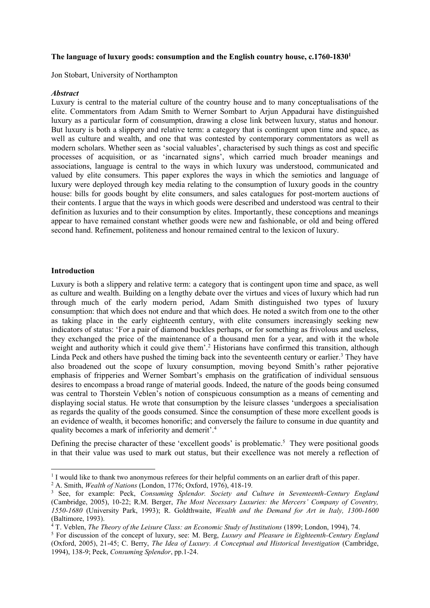### **The language of luxury goods: consumption and the English country house, c.1760-1830<sup>1</sup>**

Jon Stobart, University of Northampton

#### *Abstract*

Luxury is central to the material culture of the country house and to many conceptualisations of the elite. Commentators from Adam Smith to Werner Sombart to Arjun Appadurai have distinguished luxury as a particular form of consumption, drawing a close link between luxury, status and honour. But luxury is both a slippery and relative term: a category that is contingent upon time and space, as well as culture and wealth, and one that was contested by contemporary commentators as well as modern scholars. Whether seen as 'social valuables', characterised by such things as cost and specific processes of acquisition, or as 'incarnated signs', which carried much broader meanings and associations, language is central to the ways in which luxury was understood, communicated and valued by elite consumers. This paper explores the ways in which the semiotics and language of luxury were deployed through key media relating to the consumption of luxury goods in the country house: bills for goods bought by elite consumers, and sales catalogues for post-mortem auctions of their contents. I argue that the ways in which goods were described and understood was central to their definition as luxuries and to their consumption by elites. Importantly, these conceptions and meanings appear to have remained constant whether goods were new and fashionable, or old and being offered second hand. Refinement, politeness and honour remained central to the lexicon of luxury.

### **Introduction**

l

Luxury is both a slippery and relative term: a category that is contingent upon time and space, as well as culture and wealth. Building on a lengthy debate over the virtues and vices of luxury which had run through much of the early modern period, Adam Smith distinguished two types of luxury consumption: that which does not endure and that which does. He noted a switch from one to the other as taking place in the early eighteenth century, with elite consumers increasingly seeking new indicators of status: 'For a pair of diamond buckles perhaps, or for something as frivolous and useless, they exchanged the price of the maintenance of a thousand men for a year, and with it the whole weight and authority which it could give them'.<sup>2</sup> Historians have confirmed this transition, although Linda Peck and others have pushed the timing back into the seventeenth century or earlier.<sup>3</sup> They have also broadened out the scope of luxury consumption, moving beyond Smith's rather pejorative emphasis of fripperies and Werner Sombart's emphasis on the gratification of individual sensuous desires to encompass a broad range of material goods. Indeed, the nature of the goods being consumed was central to Thorstein Veblen's notion of conspicuous consumption as a means of cementing and displaying social status. He wrote that consumption by the leisure classes 'undergoes a specialisation as regards the quality of the goods consumed. Since the consumption of these more excellent goods is an evidence of wealth, it becomes honorific; and conversely the failure to consume in due quantity and quality becomes a mark of inferiority and demerit'.<sup>4</sup>

Defining the precise character of these 'excellent goods' is problematic.<sup>5</sup> They were positional goods in that their value was used to mark out status, but their excellence was not merely a reflection of

<sup>&</sup>lt;sup>1</sup> I would like to thank two anonymous referees for their helpful comments on an earlier draft of this paper.

<sup>2</sup> A. Smith, *Wealth of Nations* (London, 1776; Oxford, 1976), 418-19*.*

<sup>3</sup> See, for example: Peck, *Consuming Splendor. Society and Culture in Seventeenth-Century England* (Cambridge, 2005), 10-22; R.M. Berger, *The Most Necessary Luxuries: the Mercers' Company of Coventry, 1550-1680* (University Park, 1993); R. Goldthwaite, *Wealth and the Demand for Art in Italy, 1300-1600* (Baltimore, 1993).

<sup>4</sup> T. Veblen, *The Theory of the Leisure Class: an Economic Study of Institutions* (1899; London, 1994), 74.

<sup>5</sup> For discussion of the concept of luxury, see: M. Berg, *Luxury and Pleasure in Eighteenth-Century England* (Oxford, 2005), 21-45; C. Berry, *The Idea of Luxury. A Conceptual and Historical Investigation* (Cambridge, 1994), 138-9; Peck, *Consuming Splendor*, pp.1-24.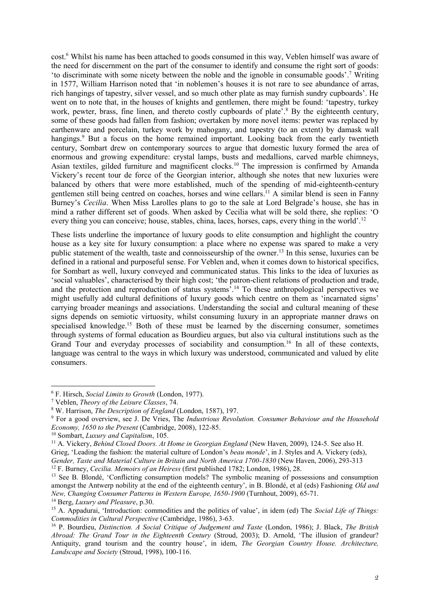cost.<sup>6</sup> Whilst his name has been attached to goods consumed in this way, Veblen himself was aware of the need for discernment on the part of the consumer to identify and consume the right sort of goods: 'to discriminate with some nicety between the noble and the ignoble in consumable goods'. <sup>7</sup> Writing in 1577, William Harrison noted that 'in noblemen's houses it is not rare to see abundance of arras, rich hangings of tapestry, silver vessel, and so much other plate as may furnish sundry cupboards'. He went on to note that, in the houses of knights and gentlemen, there might be found: 'tapestry, turkey work, pewter, brass, fine linen, and thereto costly cupboards of plate'.<sup>8</sup> By the eighteenth century, some of these goods had fallen from fashion; overtaken by more novel items: pewter was replaced by earthenware and porcelain, turkey work by mahogany, and tapestry (to an extent) by damask wall hangings.<sup>9</sup> But a focus on the home remained important. Looking back from the early twentieth century, Sombart drew on contemporary sources to argue that domestic luxury formed the area of enormous and growing expenditure: crystal lamps, busts and medallions, carved marble chimneys, Asian textiles, gilded furniture and magnificent clocks.<sup>10</sup> The impression is confirmed by Amanda Vickery's recent tour de force of the Georgian interior, although she notes that new luxuries were balanced by others that were more established, much of the spending of mid-eighteenth-century gentlemen still being centred on coaches, horses and wine cellars. <sup>11</sup> A similar blend is seen in Fanny Burney's *Cecilia*. When Miss Larolles plans to go to the sale at Lord Belgrade's house, she has in mind a rather different set of goods. When asked by Cecilia what will be sold there, she replies: 'O every thing you can conceive; house, stables, china, laces, horses, caps, every thing in the world'.<sup>12</sup>

These lists underline the importance of luxury goods to elite consumption and highlight the country house as a key site for luxury consumption: a place where no expense was spared to make a very public statement of the wealth, taste and connoisseurship of the owner.<sup>13</sup> In this sense, luxuries can be defined in a rational and purposeful sense. For Veblen and, when it comes down to historical specifics, for Sombart as well, luxury conveyed and communicated status. This links to the idea of luxuries as 'social valuables', characterised by their high cost; 'the patron-client relations of production and trade, and the protection and reproduction of status systems'.<sup>14</sup> To these anthropological perspectives we might usefully add cultural definitions of luxury goods which centre on them as 'incarnated signs' carrying broader meanings and associations. Understanding the social and cultural meaning of these signs depends on semiotic virtuosity, whilst consuming luxury in an appropriate manner draws on specialised knowledge.<sup>15</sup> Both of these must be learned by the discerning consumer, sometimes through systems of formal education as Bourdieu argues, but also via cultural institutions such as the Grand Tour and everyday processes of sociability and consumption.<sup>16</sup> In all of these contexts, language was central to the ways in which luxury was understood, communicated and valued by elite consumers.

 $\overline{a}$ 

<sup>6</sup> F. Hirsch, *Social Limits to Growth* (London, 1977).

<sup>7</sup> Veblen, *Theory of the Leisure Classes*, 74.

<sup>8</sup> W. Harrison, *The Description of England* (London, 1587), 197.

<sup>9</sup> For a good overview, see J. De Vries, The *Industrious Revolution. Consumer Behaviour and the Household Economy, 1650 to the Present* (Cambridge, 2008), 122-85.

<sup>10</sup> Sombart, *Luxury and Capitalism*, 105.

<sup>11</sup> A. Vickery, *Behind Closed Doors. At Home in Georgian England* (New Haven, 2009), 124-5. See also H. Grieg, 'Leading the fashion: the material culture of London's *beau monde*', in J. Styles and A. Vickery (eds), *Gender, Taste and Material Culture in Britain and North America 1700-1830* (New Haven, 2006), 293-313 <sup>12</sup> F. Burney, *Cecilia. Memoirs of an Heiress* (first published 1782; London, 1986), 28.

<sup>&</sup>lt;sup>13</sup> See B. Blondé, 'Conflicting consumption models? The symbolic meaning of possessions and consumption amongst the Antwerp nobility at the end of the eighteenth century', in B. Blondé, et al (eds) Fashioning *Old and New, Changing Consumer Patterns in Western Europe, 1650-1900* (Turnhout, 2009), 65-71.

<sup>14</sup> Berg, *Luxury and Pleasure*, p.30.

<sup>15</sup> A. Appadurai, 'Introduction: commodities and the politics of value', in idem (ed) The *Social Life of Things: Commodities in Cultural Perspective* (Cambridge, 1986), 3-63.

<sup>16</sup> P. Bourdieu, *Distinction. A Social Critique of Judgement and Taste* (London, 1986); J. Black, *The British Abroad: The Grand Tour in the Eighteenth Century* (Stroud, 2003); D. Arnold, 'The illusion of grandeur? Antiquity, grand tourism and the country house', in idem, *The Georgian Country House. Architecture, Landscape and Society* (Stroud, 1998), 100-116.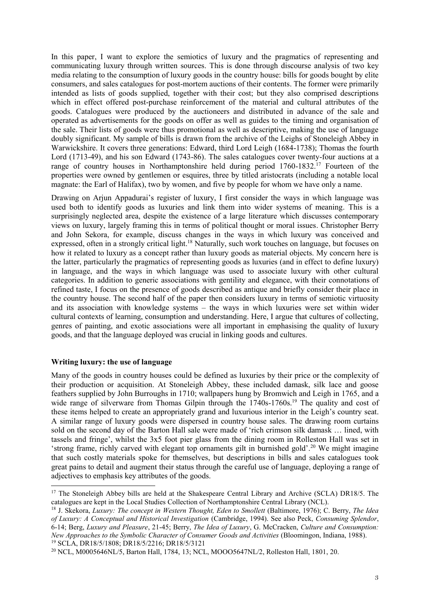In this paper, I want to explore the semiotics of luxury and the pragmatics of representing and communicating luxury through written sources. This is done through discourse analysis of two key media relating to the consumption of luxury goods in the country house: bills for goods bought by elite consumers, and sales catalogues for post-mortem auctions of their contents. The former were primarily intended as lists of goods supplied, together with their cost; but they also comprised descriptions which in effect offered post-purchase reinforcement of the material and cultural attributes of the goods. Catalogues were produced by the auctioneers and distributed in advance of the sale and operated as advertisements for the goods on offer as well as guides to the timing and organisation of the sale. Their lists of goods were thus promotional as well as descriptive, making the use of language doubly significant. My sample of bills is drawn from the archive of the Leighs of Stoneleigh Abbey in Warwickshire. It covers three generations: Edward, third Lord Leigh (1684-1738); Thomas the fourth Lord (1713-49), and his son Edward (1743-86). The sales catalogues cover twenty-four auctions at a range of country houses in Northamptonshire held during period 1760-1832.<sup>17</sup> Fourteen of the properties were owned by gentlemen or esquires, three by titled aristocrats (including a notable local magnate: the Earl of Halifax), two by women, and five by people for whom we have only a name.

Drawing on Arjun Appadurai's register of luxury, I first consider the ways in which language was used both to identify goods as luxuries and link them into wider systems of meaning. This is a surprisingly neglected area, despite the existence of a large literature which discusses contemporary views on luxury, largely framing this in terms of political thought or moral issues. Christopher Berry and John Sekora, for example, discuss changes in the ways in which luxury was conceived and expressed, often in a strongly critical light.<sup>18</sup> Naturally, such work touches on language, but focuses on how it related to luxury as a concept rather than luxury goods as material objects. My concern here is the latter, particularly the pragmatics of representing goods as luxuries (and in effect to define luxury) in language, and the ways in which language was used to associate luxury with other cultural categories. In addition to generic associations with gentility and elegance, with their connotations of refined taste, I focus on the presence of goods described as antique and briefly consider their place in the country house. The second half of the paper then considers luxury in terms of semiotic virtuosity and its association with knowledge systems – the ways in which luxuries were set within wider cultural contexts of learning, consumption and understanding. Here, I argue that cultures of collecting, genres of painting, and exotic associations were all important in emphasising the quality of luxury goods, and that the language deployed was crucial in linking goods and cultures.

## **Writing luxury: the use of language**

Many of the goods in country houses could be defined as luxuries by their price or the complexity of their production or acquisition. At Stoneleigh Abbey, these included damask, silk lace and goose feathers supplied by John Burroughs in 1710; wallpapers hung by Bromwich and Leigh in 1765, and a wide range of silverware from Thomas Gilpin through the 1740s-1760s.<sup>19</sup> The quality and cost of these items helped to create an appropriately grand and luxurious interior in the Leigh's country seat. A similar range of luxury goods were dispersed in country house sales. The drawing room curtains sold on the second day of the Barton Hall sale were made of 'rich crimson silk damask ... lined, with tassels and fringe', whilst the 3x5 foot pier glass from the dining room in Rolleston Hall was set in 'strong frame, richly carved with elegant top ornaments gilt in burnished gold'.<sup>20</sup> We might imagine that such costly materials spoke for themselves, but descriptions in bills and sales catalogues took great pains to detail and augment their status through the careful use of language, deploying a range of adjectives to emphasis key attributes of the goods.

 $\overline{a}$ <sup>17</sup> The Stoneleigh Abbey bills are held at the Shakespeare Central Library and Archive (SCLA) DR18/5. The catalogues are kept in the Local Studies Collection of Northamptonshire Central Library (NCL).

<sup>18</sup> J. Skekora, *Luxury: The concept in Western Thought, Eden to Smollett* (Baltimore, 1976); C. Berry, *The Idea of Luxury: A Conceptual and Historical Investigation* (Cambridge, 1994). See also Peck, *Consuming Splendor*, 6-14; Berg, *Luxury and Pleasure*, 21-45; Berry, *The Idea of Luxury*, G. McCracken, *Culture and Consumption: New Approaches to the Symbolic Character of Consumer Goods and Activities* (Bloomingon, Indiana, 1988). <sup>19</sup> SCLA, DR18/5/1808; DR18/5/2216; DR18/5/3121

<sup>20</sup> NCL, M0005646NL/5, Barton Hall, 1784, 13; NCL, MOOO5647NL/2, Rolleston Hall, 1801, 20.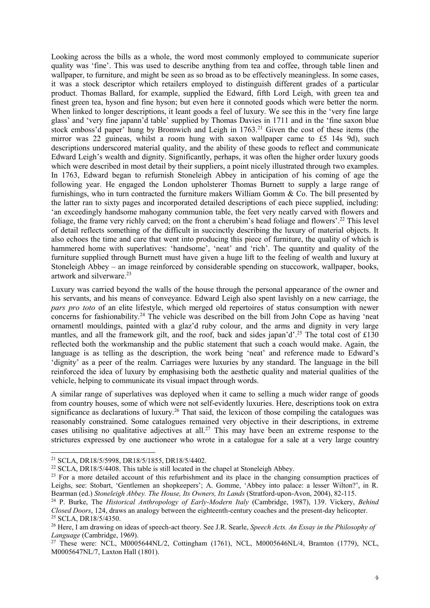Looking across the bills as a whole, the word most commonly employed to communicate superior quality was 'fine'. This was used to describe anything from tea and coffee, through table linen and wallpaper, to furniture, and might be seen as so broad as to be effectively meaningless. In some cases, it was a stock descriptor which retailers employed to distinguish different grades of a particular product. Thomas Ballard, for example, supplied the Edward, fifth Lord Leigh, with green tea and finest green tea, hyson and fine hyson; but even here it connoted goods which were better the norm. When linked to longer descriptions, it leant goods a feel of luxury. We see this in the 'very fine large glass' and 'very fine japann'd table' supplied by Thomas Davies in 1711 and in the 'fine saxon blue stock emboss'd paper' hung by Bromwich and Leigh in 1763.<sup>21</sup> Given the cost of these items (the mirror was 22 guineas, whilst a room hung with saxon wallpaper came to £5 14s 9d), such descriptions underscored material quality, and the ability of these goods to reflect and communicate Edward Leigh's wealth and dignity. Significantly, perhaps, it was often the higher order luxury goods which were described in most detail by their suppliers, a point nicely illustrated through two examples. In 1763, Edward began to refurnish Stoneleigh Abbey in anticipation of his coming of age the following year. He engaged the London upholsterer Thomas Burnett to supply a large range of furnishings, who in turn contracted the furniture makers William Gomm & Co. The bill presented by the latter ran to sixty pages and incorporated detailed descriptions of each piece supplied, including: 'an exceedingly handsome mahogany communion table, the feet very neatly carved with flowers and foliage, the frame very richly carved; on the front a cherubim's head foliage and flowers'.<sup>22</sup> This level of detail reflects something of the difficult in succinctly describing the luxury of material objects. It also echoes the time and care that went into producing this piece of furniture, the quality of which is hammered home with superlatives: 'handsome', 'neat' and 'rich'. The quantity and quality of the furniture supplied through Burnett must have given a huge lift to the feeling of wealth and luxury at Stoneleigh Abbey – an image reinforced by considerable spending on stuccowork, wallpaper, books, artwork and silverware. 23

Luxury was carried beyond the walls of the house through the personal appearance of the owner and his servants, and his means of conveyance. Edward Leigh also spent lavishly on a new carriage, the *pars pro toto* of an elite lifestyle, which merged old repertoires of status consumption with newer concerns for fashionability.<sup>24</sup> The vehicle was described on the bill from John Cope as having 'neat ornamentl mouldings, painted with a glaz'd ruby colour, and the arms and dignity in very large mantles, and all the framework gilt, and the roof, back and sides japan'd'.<sup>25</sup> The total cost of £130 reflected both the workmanship and the public statement that such a coach would make. Again, the language is as telling as the description, the work being 'neat' and reference made to Edward's 'dignity' as a peer of the realm. Carriages were luxuries by any standard. The language in the bill reinforced the idea of luxury by emphasising both the aesthetic quality and material qualities of the vehicle, helping to communicate its visual impact through words.

A similar range of superlatives was deployed when it came to selling a much wider range of goods from country houses, some of which were not self-evidently luxuries. Here, descriptions took on extra significance as declarations of luxury.<sup>26</sup> That said, the lexicon of those compiling the catalogues was reasonably constrained. Some catalogues remained very objective in their descriptions, in extreme cases utilising no qualitative adjectives at all.<sup>27</sup> This may have been an extreme response to the strictures expressed by one auctioneer who wrote in a catalogue for a sale at a very large country

<sup>21</sup> SCLA, DR18/5/5998, DR18/5/1855, DR18/5/4402.

 $22$  SCLA, DR18/5/4408. This table is still located in the chapel at Stoneleigh Abbey.

<sup>&</sup>lt;sup>23</sup> For a more detailed account of this refurbishment and its place in the changing consumption practices of Leighs, see: Stobart, 'Gentlemen an shopkeepers'; A. Gomme, 'Abbey into palace: a lesser Wilton?', in R. Bearman (ed.) *Stoneleigh Abbey. The House, Its Owners, Its Lands* (Stratford-upon-Avon, 2004), 82-115.

<sup>24</sup> P. Burke, The *Historical Anthropology of Early-Modern Italy* (Cambridge, 1987), 139. Vickery, *Behind Closed Doors*, 124, draws an analogy between the eighteenth-century coaches and the present-day helicopter. <sup>25</sup> SCLA, DR18/5/4350.

<sup>26</sup> Here, I am drawing on ideas of speech-act theory. See J.R. Searle, *Speech Acts. An Essay in the Philosophy of Language* (Cambridge, 1969).

<sup>27</sup> These were: NCL, M0005644NL/2, Cottingham (1761), NCL, M0005646NL/4, Bramton (1779), NCL, M0005647NL/7, Laxton Hall (1801).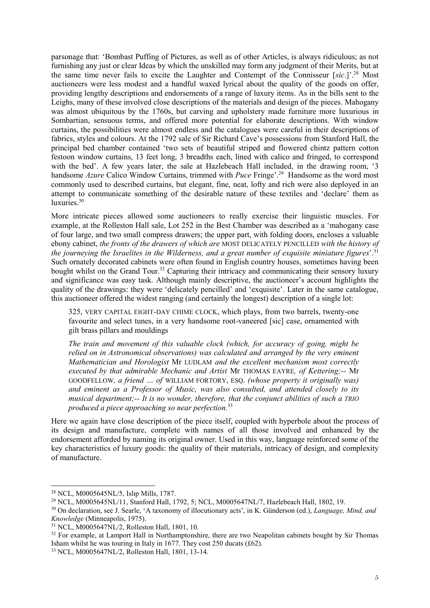parsonage that: 'Bombast Puffing of Pictures, as well as of other Articles, is always ridiculous; as not furnishing any just or clear Ideas by which the unskilled may form any judgment of their Merits, but at the same time never fails to excite the Laughter and Contempt of the Connisseur [*sic*.]'.<sup>28</sup> Most auctioneers were less modest and a handful waxed lyrical about the quality of the goods on offer, providing lengthy descriptions and endorsements of a range of luxury items. As in the bills sent to the Leighs, many of these involved close descriptions of the materials and design of the pieces. Mahogany was almost ubiquitous by the 1760s, but carving and upholstery made furniture more luxurious in Sombartian, sensuous terms, and offered more potential for elaborate descriptions. With window curtains, the possibilities were almost endless and the catalogues were careful in their descriptions of fabrics, styles and colours. At the 1792 sale of Sir Richard Cave's possessions from Stanford Hall, the principal bed chamber contained 'two sets of beautiful striped and flowered chintz pattern cotton festoon window curtains, 13 feet long, 3 breadths each, lined with calico and fringed, to correspond with the bed'. A few years later, the sale at Hazlebeach Hall included, in the drawing room, '3 handsome *Azure* Calico Window Curtains, trimmed with *Puce* Fringe'.<sup>29</sup> Handsome as the word most commonly used to described curtains, but elegant, fine, neat, lofty and rich were also deployed in an attempt to communicate something of the desirable nature of these textiles and 'declare' them as luxuries. 30

More intricate pieces allowed some auctioneers to really exercise their linguistic muscles. For example, at the Rolleston Hall sale, Lot 252 in the Best Chamber was described as a 'mahogany case of four large, and two small compress drawers; the upper part, with folding doors, encloses a valuable ebony cabinet, *the fronts of the drawers of which are* MOST DELICATELY PENCILLED *with the history of the journeying the Israelites in the Wilderness, and a great number of exquisite miniature figures*'.<sup>31</sup> Such ornately decorated cabinets were often found in English country houses, sometimes having been bought whilst on the Grand Tour.<sup>32</sup> Capturing their intricacy and communicating their sensory luxury and significance was easy task. Although mainly descriptive, the auctioneer's account highlights the quality of the drawings: they were 'delicately pencilled' and 'exquisite'. Later in the same catalogue, this auctioneer offered the widest ranging (and certainly the longest) description of a single lot:

325, VERY CAPITAL EIGHT-DAY CHIME CLOCK, which plays, from two barrels, twenty-one favourite and select tunes, in a very handsome root-vaneered [sic] case, ornamented with gilt brass pillars and mouldings

*The train and movement of this valuable clock (which, for accuracy of going, might be relied on in Astronomical observations) was calculated and arranged by the very eminent Mathematician and Horologist* Mr LUDLAM *and the excellent mechanism most correctly executed by that admirable Mechanic and Artist* Mr THOMAS EAYRE*, of Kettering;--* Mr GOODFELLOW*, a friend … of* WILLIAM FORTORY, ESQ. *(whose property it originally was) and eminent as a Professor of Music, was also consulted, and attended closely to its musical department;-- It is no wonder, therefore, that the conjunct abilities of such a TRIO produced a piece approaching so near perfection.*<sup>33</sup>

Here we again have close description of the piece itself, coupled with hyperbole about the process of its design and manufacture, complete with names of all those involved and enhanced by the endorsement afforded by naming its original owner. Used in this way, language reinforced some of the key characteristics of luxury goods: the quality of their materials, intricacy of design, and complexity of manufacture.

 $\overline{a}$ 

<sup>28</sup> NCL, M0005645NL/5, Islip Mills, 1787.

<sup>29</sup> NCL, M0005645NL/11, Stanford Hall, 1792, 5; NCL, M0005647NL/7, Hazlebeach Hall, 1802, 19.

<sup>30</sup> On declaration, see J. Searle, 'A taxonomy of illocutionary acts', in K. Günderson (ed.), *Language, Mind, and Knowledge* (Minneapolis, 1975).

<sup>31</sup> NCL, M0005647NL/2, Rolleston Hall, 1801, 10.

<sup>&</sup>lt;sup>32</sup> For example, at Lamport Hall in Northamptonshire, there are two Neapolitan cabinets bought by Sir Thomas Isham whilst he was touring in Italy in 1677. They cost 250 ducats  $(f62)$ .

<sup>33</sup> NCL, M0005647NL/2, Rolleston Hall, 1801, 13-14.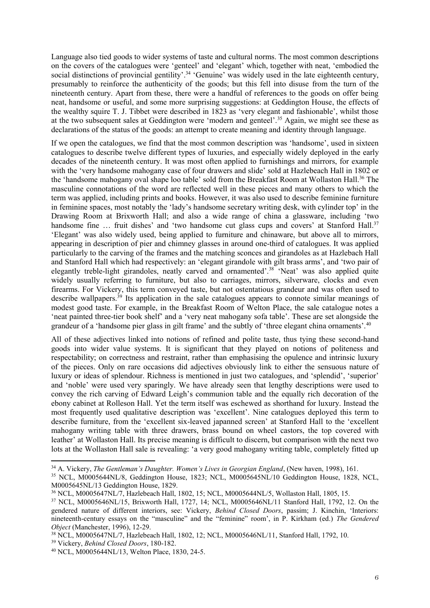Language also tied goods to wider systems of taste and cultural norms. The most common descriptions on the covers of the catalogues were 'genteel' and 'elegant' which, together with neat, 'embodied the social distinctions of provincial gentility'.<sup>34</sup> 'Genuine' was widely used in the late eighteenth century, presumably to reinforce the authenticity of the goods; but this fell into disuse from the turn of the nineteenth century. Apart from these, there were a handful of references to the goods on offer being neat, handsome or useful, and some more surprising suggestions: at Geddington House, the effects of the wealthy squire T. J. Tibbet were described in 1823 as 'very elegant and fashionable', whilst those at the two subsequent sales at Geddington were 'modern and genteel'.<sup>35</sup> Again, we might see these as declarations of the status of the goods: an attempt to create meaning and identity through language.

If we open the catalogues, we find that the most common description was 'handsome', used in sixteen catalogues to describe twelve different types of luxuries, and especially widely deployed in the early decades of the nineteenth century. It was most often applied to furnishings and mirrors, for example with the 'very handsome mahogany case of four drawers and slide' sold at Hazlebeach Hall in 1802 or the 'handsome mahogany oval shape loo table' sold from the Breakfast Room at Wollaston Hall.<sup>36</sup> The masculine connotations of the word are reflected well in these pieces and many others to which the term was applied, including prints and books. However, it was also used to describe feminine furniture in feminine spaces, most notably the 'lady's handsome secretary writing desk, with cylinder top' in the Drawing Room at Brixworth Hall; and also a wide range of china a glassware, including 'two handsome fine ... fruit dishes' and 'two handsome cut glass cups and covers' at Stanford Hall.<sup>37</sup> 'Elegant' was also widely used, being applied to furniture and chinaware, but above all to mirrors, appearing in description of pier and chimney glasses in around one-third of catalogues. It was applied particularly to the carving of the frames and the matching sconces and girandoles as at Hazlebach Hall and Stanford Hall which had respectively: an 'elegant girandole with gilt brass arms', and 'two pair of elegantly treble-light girandoles, neatly carved and ornamented'.<sup>38</sup> 'Neat' was also applied quite widely usually referring to furniture, but also to carriages, mirrors, silverware, clocks and even firearms. For Vickery, this term conveyed taste, but not ostentatious grandeur and was often used to describe wallpapers.<sup>39</sup> Its application in the sale catalogues appears to connote similar meanings of modest good taste. For example, in the Breakfast Room of Welton Place, the sale catalogue notes a 'neat painted three-tier book shelf' and a 'very neat mahogany sofa table'. These are set alongside the grandeur of a 'handsome pier glass in gilt frame' and the subtly of 'three elegant china ornaments'.<sup>40</sup>

All of these adjectives linked into notions of refined and polite taste, thus tying these second-hand goods into wider value systems. It is significant that they played on notions of politeness and respectability; on correctness and restraint, rather than emphasising the opulence and intrinsic luxury of the pieces. Only on rare occasions did adjectives obviously link to either the sensuous nature of luxury or ideas of splendour. Richness is mentioned in just two catalogues, and 'splendid', 'superior' and 'noble' were used very sparingly. We have already seen that lengthy descriptions were used to convey the rich carving of Edward Leigh's communion table and the equally rich decoration of the ebony cabinet at Rolleson Hall. Yet the term itself was eschewed as shorthand for luxury. Instead the most frequently used qualitative description was 'excellent'. Nine catalogues deployed this term to describe furniture, from the 'excellent six-leaved japanned screen' at Stanford Hall to the 'excellent mahogany writing table with three drawers, brass bound on wheel castors, the top covered with leather' at Wollaston Hall. Its precise meaning is difficult to discern, but comparison with the next two lots at the Wollaston Hall sale is revealing: 'a very good mahogany writing table, completely fitted up

 $\overline{a}$ 

<sup>34</sup> A. Vickery, *The Gentleman's Daughter. Women's Lives in Georgian England*, (New haven, 1998), 161.

<sup>35</sup> NCL, M0005644NL/8, Geddington House, 1823; NCL, M0005645NL/10 Geddington House, 1828, NCL, M0005645NL/13 Geddington House, 1829.

<sup>36</sup> NCL, M0005647NL/7, Hazlebeach Hall, 1802, 15; NCL, M0005644NL/5, Wollaston Hall, 1805, 15.

<sup>37</sup> NCL, M0005646NL/15, Brixworth Hall, 1727, 14; NCL, M0005646NL/11 Stanford Hall, 1792, 12. On the gendered nature of different interiors, see: Vickery, *Behind Closed Doors*, passim; J. Kinchin, 'Interiors: nineteenth-century essays on the "masculine" and the "feminine" room', in P. Kirkham (ed.) *The Gendered Object* (Manchester, 1996), 12-29.

<sup>38</sup> NCL, M0005647NL/7, Hazlebeach Hall, 1802, 12; NCL, M0005646NL/11, Stanford Hall, 1792, 10.

<sup>39</sup> Vickery, *Behind Closed Doors*, 180-182.

<sup>40</sup> NCL, M0005644NL/13, Welton Place, 1830, 24-5.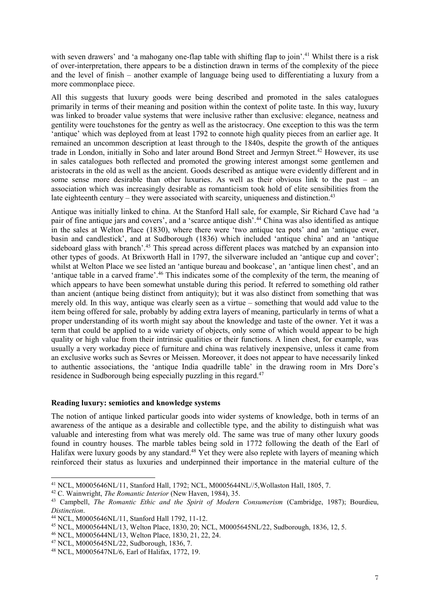with seven drawers' and 'a mahogany one-flap table with shifting flap to join'.<sup>41</sup> Whilst there is a risk of over-interpretation, there appears to be a distinction drawn in terms of the complexity of the piece and the level of finish – another example of language being used to differentiating a luxury from a more commonplace piece.

All this suggests that luxury goods were being described and promoted in the sales catalogues primarily in terms of their meaning and position within the context of polite taste. In this way, luxury was linked to broader value systems that were inclusive rather than exclusive: elegance, neatness and gentility were touchstones for the gentry as well as the aristocracy. One exception to this was the term 'antique' which was deployed from at least 1792 to connote high quality pieces from an earlier age. It remained an uncommon description at least through to the 1840s, despite the growth of the antiques trade in London, initially in Soho and later around Bond Street and Jermyn Street.<sup>42</sup> However, its use in sales catalogues both reflected and promoted the growing interest amongst some gentlemen and aristocrats in the old as well as the ancient. Goods described as antique were evidently different and in some sense more desirable than other luxuries. As well as their obvious link to the past – an association which was increasingly desirable as romanticism took hold of elite sensibilities from the late eighteenth century – they were associated with scarcity, uniqueness and distinction.<sup>43</sup>

Antique was initially linked to china. At the Stanford Hall sale, for example, Sir Richard Cave had 'a pair of fine antique jars and covers', and a 'scarce antique dish'.<sup>44</sup> China was also identified as antique in the sales at Welton Place (1830), where there were 'two antique tea pots' and an 'antique ewer, basin and candlestick', and at Sudborough (1836) which included 'antique china' and an 'antique sideboard glass with branch'.<sup>45</sup> This spread across different places was matched by an expansion into other types of goods. At Brixworth Hall in 1797, the silverware included an 'antique cup and cover'; whilst at Welton Place we see listed an 'antique bureau and bookcase', an 'antique linen chest', and an 'antique table in a carved frame'.<sup>46</sup> This indicates some of the complexity of the term, the meaning of which appears to have been somewhat unstable during this period. It referred to something old rather than ancient (antique being distinct from antiquity); but it was also distinct from something that was merely old. In this way, antique was clearly seen as a virtue – something that would add value to the item being offered for sale, probably by adding extra layers of meaning, particularly in terms of what a proper understanding of its worth might say about the knowledge and taste of the owner. Yet it was a term that could be applied to a wide variety of objects, only some of which would appear to be high quality or high value from their intrinsic qualities or their functions. A linen chest, for example, was usually a very workaday piece of furniture and china was relatively inexpensive, unless it came from an exclusive works such as Sevres or Meissen. Moreover, it does not appear to have necessarily linked to authentic associations, the 'antique India quadrille table' in the drawing room in Mrs Dore's residence in Sudborough being especially puzzling in this regard.<sup>47</sup>

## **Reading luxury: semiotics and knowledge systems**

The notion of antique linked particular goods into wider systems of knowledge, both in terms of an awareness of the antique as a desirable and collectible type, and the ability to distinguish what was valuable and interesting from what was merely old. The same was true of many other luxury goods found in country houses. The marble tables being sold in 1772 following the death of the Earl of Halifax were luxury goods by any standard.<sup>48</sup> Yet they were also replete with layers of meaning which reinforced their status as luxuries and underpinned their importance in the material culture of the

<sup>41</sup> NCL, M0005646NL/11, Stanford Hall, 1792; NCL, M0005644NL//5,Wollaston Hall, 1805, 7.

<sup>42</sup> C. Wainwright, *The Romantic Interior* (New Haven, 1984), 35.

<sup>43</sup> Campbell, *The Romantic Ethic and the Spirit of Modern Consumerism* (Cambridge, 1987); Bourdieu, *Distinction*.

<sup>44</sup> NCL, M0005646NL/11, Stanford Hall 1792, 11-12.

<sup>45</sup> NCL, M0005644NL/13, Welton Place, 1830, 20; NCL, M0005645NL/22, Sudborough, 1836, 12, 5.

<sup>46</sup> NCL, M0005644NL/13, Welton Place, 1830, 21, 22, 24.

<sup>47</sup> NCL, M0005645NL/22, Sudborough, 1836, 7.

<sup>48</sup> NCL, M0005647NL/6, Earl of Halifax, 1772, 19.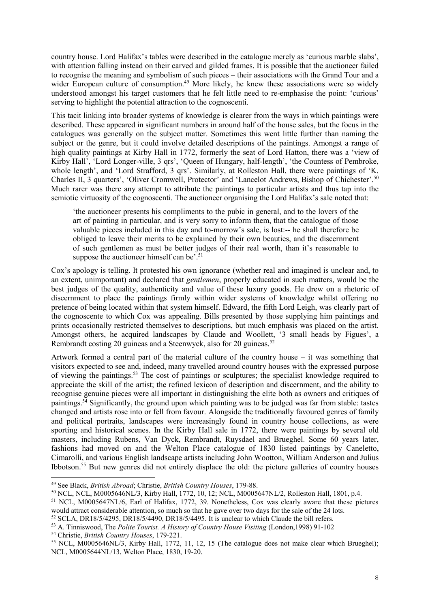country house. Lord Halifax's tables were described in the catalogue merely as 'curious marble slabs', with attention falling instead on their carved and gilded frames. It is possible that the auctioneer failed to recognise the meaning and symbolism of such pieces – their associations with the Grand Tour and a wider European culture of consumption.<sup>49</sup> More likely, he knew these associations were so widely understood amongst his target customers that he felt little need to re-emphasise the point: 'curious' serving to highlight the potential attraction to the cognoscenti.

This tacit linking into broader systems of knowledge is clearer from the ways in which paintings were described. These appeared in significant numbers in around half of the house sales, but the focus in the catalogues was generally on the subject matter. Sometimes this went little further than naming the subject or the genre, but it could involve detailed descriptions of the paintings. Amongst a range of high quality paintings at Kirby Hall in 1772, formerly the seat of Lord Hatton, there was a 'view of Kirby Hall', 'Lord Longer-ville, 3 qrs', 'Queen of Hungary, half-length', 'the Countess of Pembroke, whole length', and 'Lord Strafford, 3 qrs'. Similarly, at Rolleston Hall, there were paintings of 'K. Charles II, 3 quarters', 'Oliver Cromwell, Protector' and 'Lancelot Andrews, Bishop of Chichester'.<sup>50</sup> Much rarer was there any attempt to attribute the paintings to particular artists and thus tap into the semiotic virtuosity of the cognoscenti. The auctioneer organising the Lord Halifax's sale noted that:

'the auctioneer presents his compliments to the pubic in general, and to the lovers of the art of painting in particular, and is very sorry to inform them, that the catalogue of those valuable pieces included in this day and to-morrow's sale, is lost:-- he shall therefore be obliged to leave their merits to be explained by their own beauties, and the discernment of such gentlemen as must be better judges of their real worth, than it's reasonable to suppose the auctioneer himself can be'.<sup>51</sup>

Cox's apology is telling. It protested his own ignorance (whether real and imagined is unclear and, to an extent, unimportant) and declared that *gentlemen*, properly educated in such matters, would be the best judges of the quality, authenticity and value of these luxury goods. He drew on a rhetoric of discernment to place the paintings firmly within wider systems of knowledge whilst offering no pretence of being located within that system himself. Edward, the fifth Lord Leigh, was clearly part of the cognoscente to which Cox was appealing. Bills presented by those supplying him paintings and prints occasionally restricted themselves to descriptions, but much emphasis was placed on the artist. Amongst others, he acquired landscapes by Claude and Woollett, '3 small heads by Figues', a Rembrandt costing 20 guineas and a Steenwyck, also for 20 guineas.<sup>52</sup>

Artwork formed a central part of the material culture of the country house – it was something that visitors expected to see and, indeed, many travelled around country houses with the expressed purpose of viewing the paintings.<sup>53</sup> The cost of paintings or sculptures; the specialist knowledge required to appreciate the skill of the artist; the refined lexicon of description and discernment, and the ability to recognise genuine pieces were all important in distinguishing the elite both as owners and critiques of paintings.<sup>54</sup> Significantly, the ground upon which painting was to be judged was far from stable: tastes changed and artists rose into or fell from favour. Alongside the traditionally favoured genres of family and political portraits, landscapes were increasingly found in country house collections, as were sporting and historical scenes. In the Kirby Hall sale in 1772, there were paintings by several old masters, including Rubens, Van Dyck, Rembrandt, Ruysdael and Brueghel. Some 60 years later, fashions had moved on and the Welton Place catalogue of 1830 listed paintings by Caneletto, Cimarolli, and various English landscape artists including John Wootton, William Anderson and Julius Ibbotson.<sup>55</sup> But new genres did not entirely displace the old: the picture galleries of country houses

<sup>49</sup> See Black, *British Abroad*; Christie, *British Country Houses*, 179-88.

<sup>50</sup> NCL, NCL, M0005646NL/3, Kirby Hall, 1772, 10, 12; NCL, M0005647NL/2, Rolleston Hall, 1801, p.4.

<sup>51</sup> NCL, M0005647NL/6, Earl of Halifax, 1772, 39. Nonetheless, Cox was clearly aware that these pictures would attract considerable attention, so much so that he gave over two days for the sale of the 24 lots.

<sup>52</sup> SCLA, DR18/5/4295, DR18/5/4490, DR18/5/4495. It is unclear to which Claude the bill refers. <sup>53</sup> A. Tinniswood, The *Polite Tourist. A History of Country House Visiting* (London,1998) 91-102

<sup>54</sup> Christie, *British Country Houses*, 179-221.

<sup>55</sup> NCL, M0005646NL/3, Kirby Hall, 1772, 11, 12, 15 (The catalogue does not make clear which Brueghel); NCL, M0005644NL/13, Welton Place, 1830, 19-20.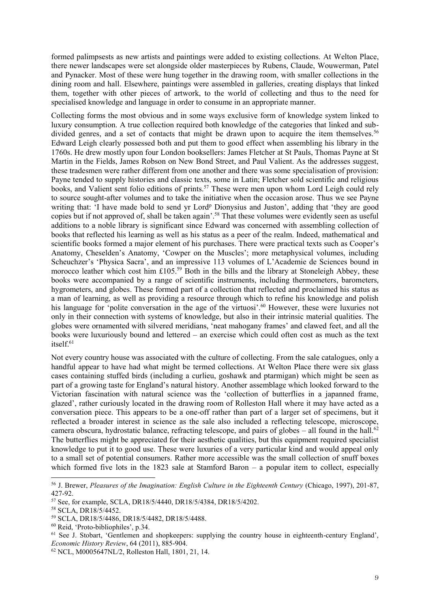formed palimpsests as new artists and paintings were added to existing collections. At Welton Place, there newer landscapes were set alongside older masterpieces by Rubens, Claude, Wouwerman, Patel and Pynacker. Most of these were hung together in the drawing room, with smaller collections in the dining room and hall. Elsewhere, paintings were assembled in galleries, creating displays that linked them, together with other pieces of artwork, to the world of collecting and thus to the need for specialised knowledge and language in order to consume in an appropriate manner.

Collecting forms the most obvious and in some ways exclusive form of knowledge system linked to luxury consumption. A true collection required both knowledge of the categories that linked and subdivided genres, and a set of contacts that might be drawn upon to acquire the item themselves.<sup>56</sup> Edward Leigh clearly possessed both and put them to good effect when assembling his library in the 1760s. He drew mostly upon four London booksellers: James Fletcher at St Pauls, Thomas Payne at St Martin in the Fields, James Robson on New Bond Street, and Paul Valient. As the addresses suggest, these tradesmen were rather different from one another and there was some specialisation of provision: Payne tended to supply histories and classic texts, some in Latin; Fletcher sold scientific and religious books, and Valient sent folio editions of prints.<sup>57</sup> These were men upon whom Lord Leigh could rely to source sought-after volumes and to take the initiative when the occasion arose. Thus we see Payne writing that: 'I have made bold to send yr Lord<sup>p</sup> Dionysius and Juston', adding that 'they are good copies but if not approved of, shall be taken again'. <sup>58</sup> That these volumes were evidently seen as useful additions to a noble library is significant since Edward was concerned with assembling collection of books that reflected his learning as well as his status as a peer of the realm. Indeed, mathematical and scientific books formed a major element of his purchases. There were practical texts such as Cooper's Anatomy, Cheselden's Anatomy, 'Cowper on the Muscles'; more metaphysical volumes, including Scheuchzer's 'Physica Sacra', and an impressive 113 volumes of L'Academie de Sciences bound in morocco leather which cost him £105.<sup>59</sup> Both in the bills and the library at Stoneleigh Abbey, these books were accompanied by a range of scientific instruments, including thermometers, barometers, hygrometers, and globes. These formed part of a collection that reflected and proclaimed his status as a man of learning, as well as providing a resource through which to refine his knowledge and polish his language for 'polite conversation in the age of the virtuosi'.<sup>60</sup> However, these were luxuries not only in their connection with systems of knowledge, but also in their intrinsic material qualities. The globes were ornamented with silvered meridians, 'neat mahogany frames' and clawed feet, and all the books were luxuriously bound and lettered – an exercise which could often cost as much as the text itself.<sup>61</sup>

Not every country house was associated with the culture of collecting. From the sale catalogues, only a handful appear to have had what might be termed collections. At Welton Place there were six glass cases containing stuffed birds (including a curlieu, goshawk and ptarmigan) which might be seen as part of a growing taste for England's natural history. Another assemblage which looked forward to the Victorian fascination with natural science was the 'collection of butterflies in a japanned frame, glazed', rather curiously located in the drawing room of Rolleston Hall where it may have acted as a conversation piece. This appears to be a one-off rather than part of a larger set of specimens, but it reflected a broader interest in science as the sale also included a reflecting telescope, microscope, camera obscura, hydrostatic balance, refracting telescope, and pairs of globes – all found in the hall.<sup>62</sup> The butterflies might be appreciated for their aesthetic qualities, but this equipment required specialist knowledge to put it to good use. These were luxuries of a very particular kind and would appeal only to a small set of potential consumers. Rather more accessible was the small collection of snuff boxes which formed five lots in the 1823 sale at Stamford Baron – a popular item to collect, especially

<sup>56</sup> J. Brewer, *Pleasures of the Imagination: English Culture in the Eighteenth Century* (Chicago, 1997), 201-87, 427-92.

<sup>57</sup> See, for example, SCLA, DR18/5/4440, DR18/5/4384, DR18/5/4202.

<sup>58</sup> SCLA, DR18/5/4452.

<sup>59</sup> SCLA, DR18/5/4486, DR18/5/4482, DR18/5/4488.

<sup>60</sup> Reid, 'Proto-bibliophiles', p.34.

 $61$  See J. Stobart, 'Gentlemen and shopkeepers: supplying the country house in eighteenth-century England', *Economic History Review*, 64 (2011), 885-904.

<sup>62</sup> NCL, M0005647NL/2, Rolleston Hall, 1801, 21, 14.